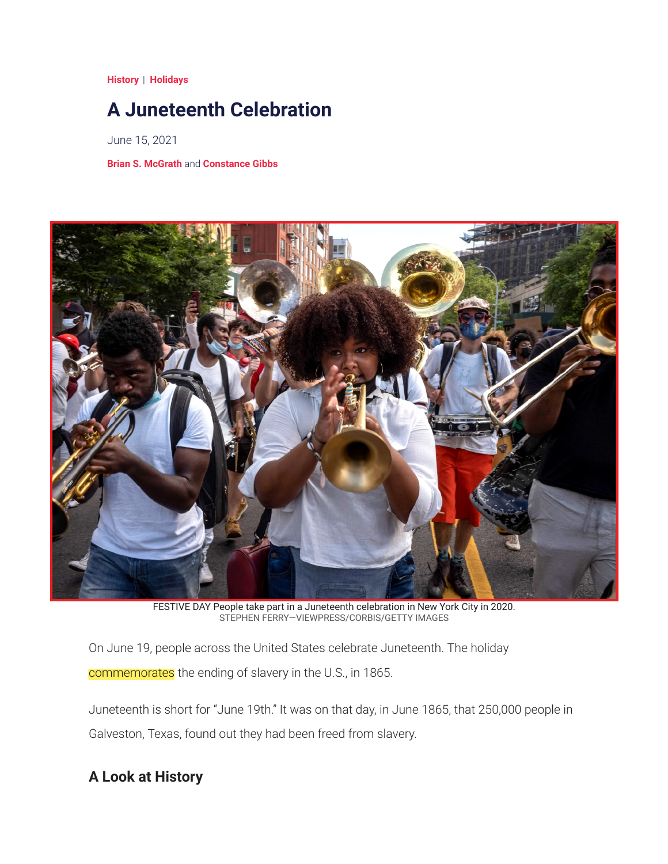**[History](https://www.timeforkids.com/g56/sections/history/)** | **[Holidays](https://www.timeforkids.com/g56/topics/holidays/)**

## **A Juneteenth Celebration**

June 15, 2021

**[Brian S. McGrath](https://www.timeforkids.com/g56/authors/brian-s-mcgrath/)** and **[Constance Gibbs](https://www.timeforkids.com/g56/authors/constance-gibbs/)**



FESTIVE DAY People take part in a Juneteenth celebration in New York City in 2020. STEPHEN FERRY—VIEWPRESS/CORBIS/GETTY IMAGES

On June 19, people across the United States celebrate Juneteenth. The holiday commemorates the ending of slavery in the U.S., in 1865.

Juneteenth is short for "June 19th." It was on that day, in June 1865, that 250,000 people in Galveston, Texas, found out they had been freed from slavery.

## **A Look at History**